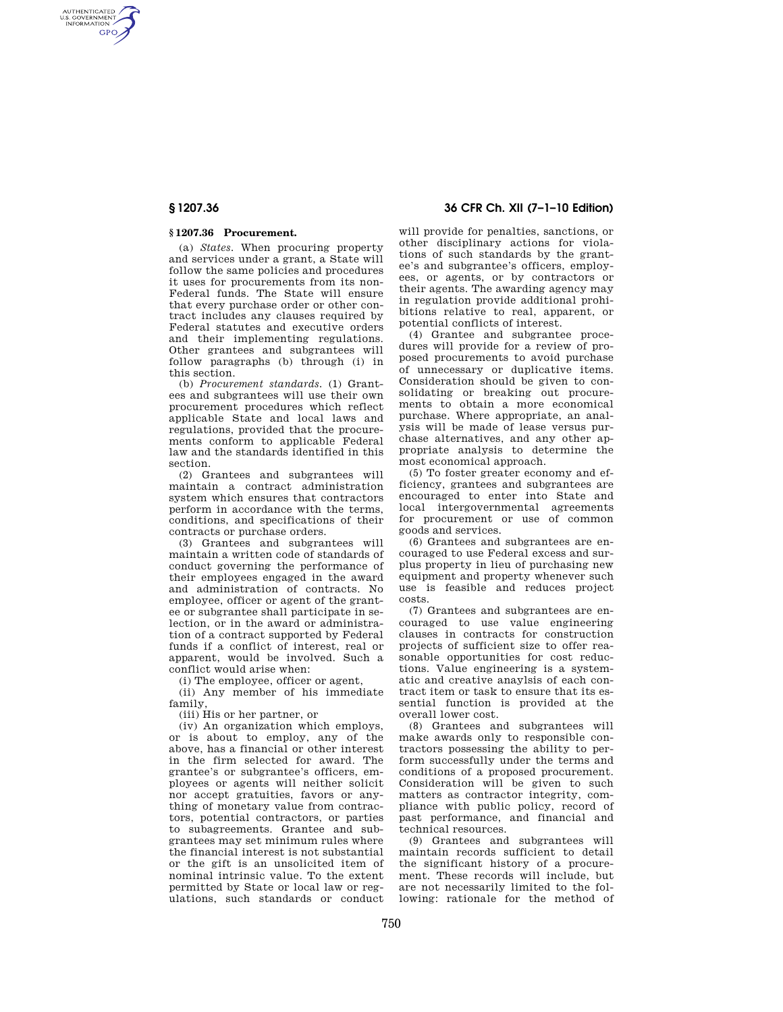AUTHENTICATED<br>U.S. GOVERNMENT<br>INFORMATION **GPO** 

#### **§ 1207.36 Procurement.**

(a) *States.* When procuring property and services under a grant, a State will follow the same policies and procedures it uses for procurements from its non-Federal funds. The State will ensure that every purchase order or other contract includes any clauses required by Federal statutes and executive orders and their implementing regulations. Other grantees and subgrantees will follow paragraphs (b) through (i) in this section.

(b) *Procurement standards.* (1) Grantees and subgrantees will use their own procurement procedures which reflect applicable State and local laws and regulations, provided that the procurements conform to applicable Federal law and the standards identified in this section.

(2) Grantees and subgrantees will maintain a contract administration system which ensures that contractors perform in accordance with the terms, conditions, and specifications of their contracts or purchase orders.

(3) Grantees and subgrantees will maintain a written code of standards of conduct governing the performance of their employees engaged in the award and administration of contracts. No employee, officer or agent of the grantee or subgrantee shall participate in selection, or in the award or administration of a contract supported by Federal funds if a conflict of interest, real or apparent, would be involved. Such a conflict would arise when:

(i) The employee, officer or agent,

(ii) Any member of his immediate family,

(iii) His or her partner, or

(iv) An organization which employs, or is about to employ, any of the above, has a financial or other interest in the firm selected for award. The grantee's or subgrantee's officers, employees or agents will neither solicit nor accept gratuities, favors or anything of monetary value from contractors, potential contractors, or parties to subagreements. Grantee and subgrantees may set minimum rules where the financial interest is not substantial or the gift is an unsolicited item of nominal intrinsic value. To the extent permitted by State or local law or reg-.<br>ulations, such standards or conduct

# **§ 1207.36 36 CFR Ch. XII (7–1–10 Edition)**

will provide for penalties, sanctions, or other disciplinary actions for violations of such standards by the grantee's and subgrantee's officers, employees, or agents, or by contractors or their agents. The awarding agency may in regulation provide additional prohibitions relative to real, apparent, or potential conflicts of interest.

(4) Grantee and subgrantee procedures will provide for a review of proposed procurements to avoid purchase of unnecessary or duplicative items. Consideration should be given to consolidating or breaking out procurements to obtain a more economical purchase. Where appropriate, an analysis will be made of lease versus purchase alternatives, and any other appropriate analysis to determine the most economical approach.

(5) To foster greater economy and efficiency, grantees and subgrantees are encouraged to enter into State and local intergovernmental agreements for procurement or use of common goods and services.

(6) Grantees and subgrantees are encouraged to use Federal excess and surplus property in lieu of purchasing new equipment and property whenever such use is feasible and reduces project costs.

(7) Grantees and subgrantees are encouraged to use value engineering clauses in contracts for construction projects of sufficient size to offer reasonable opportunities for cost reductions. Value engineering is a systematic and creative anaylsis of each contract item or task to ensure that its essential function is provided at the overall lower cost.

(8) Grantees and subgrantees will make awards only to responsible contractors possessing the ability to perform successfully under the terms and conditions of a proposed procurement. Consideration will be given to such matters as contractor integrity, compliance with public policy, record of past performance, and financial and technical resources.

(9) Grantees and subgrantees will maintain records sufficient to detail the significant history of a procurement. These records will include, but are not necessarily limited to the following: rationale for the method of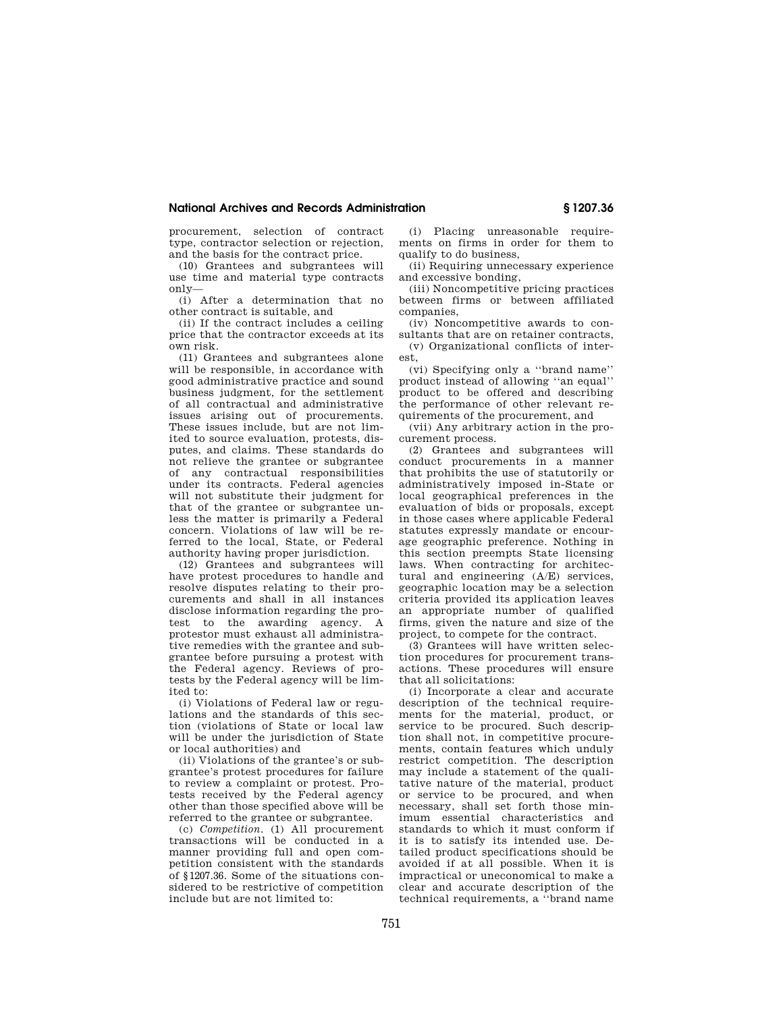## **National Archives and Records Administration § 1207.36**

procurement, selection of contract type, contractor selection or rejection, and the basis for the contract price.

(10) Grantees and subgrantees will use time and material type contracts only—

(i) After a determination that no other contract is suitable, and

(ii) If the contract includes a ceiling price that the contractor exceeds at its own risk.

(11) Grantees and subgrantees alone will be responsible, in accordance with good administrative practice and sound business judgment, for the settlement of all contractual and administrative issues arising out of procurements. These issues include, but are not limited to source evaluation, protests, disputes, and claims. These standards do not relieve the grantee or subgrantee of any contractual responsibilities under its contracts. Federal agencies will not substitute their judgment for that of the grantee or subgrantee unless the matter is primarily a Federal concern. Violations of law will be referred to the local, State, or Federal authority having proper jurisdiction.

(12) Grantees and subgrantees will have protest procedures to handle and resolve disputes relating to their procurements and shall in all instances disclose information regarding the protest to the awarding agency. A protestor must exhaust all administrative remedies with the grantee and subgrantee before pursuing a protest with the Federal agency. Reviews of protests by the Federal agency will be limited to:

(i) Violations of Federal law or regulations and the standards of this section (violations of State or local law will be under the jurisdiction of State or local authorities) and

(ii) Violations of the grantee's or subgrantee's protest procedures for failure to review a complaint or protest. Protests received by the Federal agency other than those specified above will be referred to the grantee or subgrantee.

(c) *Competition.* (1) All procurement transactions will be conducted in a manner providing full and open competition consistent with the standards of §1207.36. Some of the situations considered to be restrictive of competition include but are not limited to:

(i) Placing unreasonable requirements on firms in order for them to qualify to do business,

(ii) Requiring unnecessary experience and excessive bonding,

(iii) Noncompetitive pricing practices between firms or between affiliated companies,

(iv) Noncompetitive awards to consultants that are on retainer contracts,

(v) Organizational conflicts of interest,

(vi) Specifying only a ''brand name'' product instead of allowing ''an equal'' product to be offered and describing the performance of other relevant requirements of the procurement, and

(vii) Any arbitrary action in the procurement process.

(2) Grantees and subgrantees will conduct procurements in a manner that prohibits the use of statutorily or administratively imposed in-State or local geographical preferences in the evaluation of bids or proposals, except in those cases where applicable Federal statutes expressly mandate or encourage geographic preference. Nothing in this section preempts State licensing laws. When contracting for architectural and engineering (A/E) services, geographic location may be a selection criteria provided its application leaves an appropriate number of qualified firms, given the nature and size of the project, to compete for the contract.

(3) Grantees will have written selection procedures for procurement transactions. These procedures will ensure that all solicitations:

(i) Incorporate a clear and accurate description of the technical requirements for the material, product, or service to be procured. Such description shall not, in competitive procurements, contain features which unduly restrict competition. The description may include a statement of the qualitative nature of the material, product or service to be procured, and when necessary, shall set forth those minimum essential characteristics and standards to which it must conform if it is to satisfy its intended use. Detailed product specifications should be avoided if at all possible. When it is impractical or uneconomical to make a clear and accurate description of the technical requirements, a ''brand name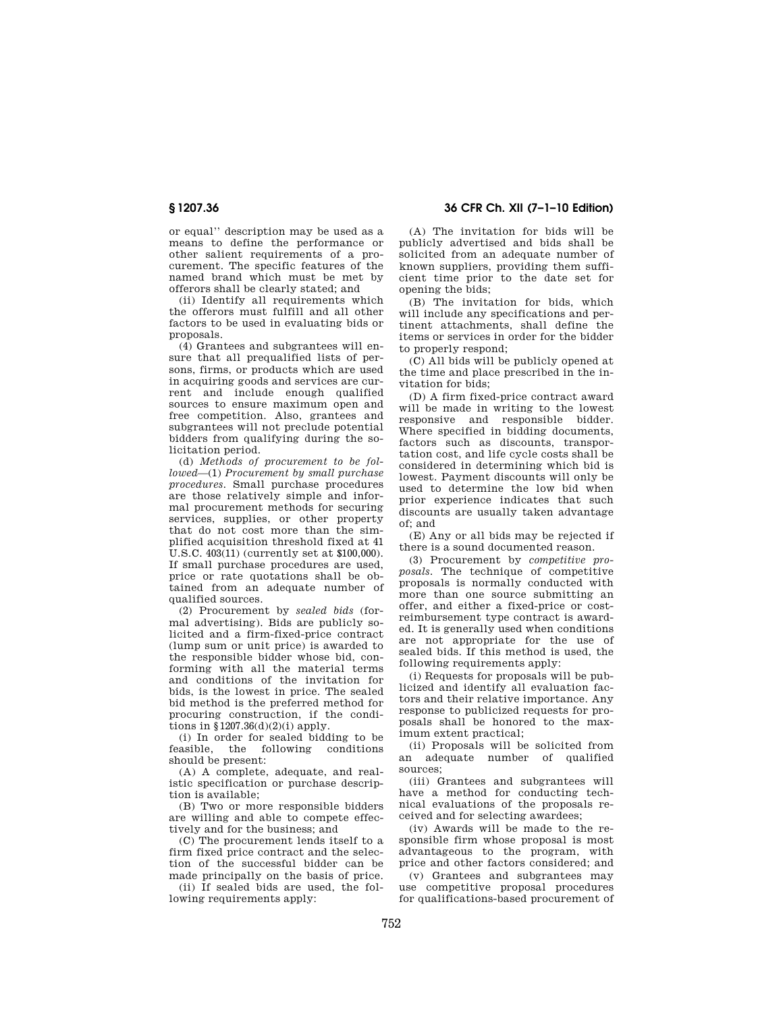or equal'' description may be used as a means to define the performance or other salient requirements of a procurement. The specific features of the named brand which must be met by offerors shall be clearly stated; and

(ii) Identify all requirements which the offerors must fulfill and all other factors to be used in evaluating bids or proposals.

(4) Grantees and subgrantees will ensure that all prequalified lists of persons, firms, or products which are used in acquiring goods and services are current and include enough qualified sources to ensure maximum open and free competition. Also, grantees and subgrantees will not preclude potential bidders from qualifying during the solicitation period.

(d) *Methods of procurement to be followed*—(1) *Procurement by small purchase procedures.* Small purchase procedures are those relatively simple and informal procurement methods for securing services, supplies, or other property that do not cost more than the simplified acquisition threshold fixed at 41 U.S.C. 403(11) (currently set at \$100,000). If small purchase procedures are used, price or rate quotations shall be obtained from an adequate number of qualified sources.

(2) Procurement by *sealed bids* (formal advertising). Bids are publicly solicited and a firm-fixed-price contract (lump sum or unit price) is awarded to the responsible bidder whose bid, conforming with all the material terms and conditions of the invitation for bids, is the lowest in price. The sealed bid method is the preferred method for procuring construction, if the conditions in  $\S 1207.36(d)(2)(i)$  apply.

(i) In order for sealed bidding to be feasible, the following conditions should be present:

(A) A complete, adequate, and realistic specification or purchase description is available;

(B) Two or more responsible bidders are willing and able to compete effectively and for the business; and

(C) The procurement lends itself to a firm fixed price contract and the selection of the successful bidder can be made principally on the basis of price.

(ii) If sealed bids are used, the following requirements apply:

**§ 1207.36 36 CFR Ch. XII (7–1–10 Edition)** 

(A) The invitation for bids will be publicly advertised and bids shall be solicited from an adequate number of known suppliers, providing them sufficient time prior to the date set for opening the bids;

(B) The invitation for bids, which will include any specifications and pertinent attachments, shall define the items or services in order for the bidder to properly respond;

(C) All bids will be publicly opened at the time and place prescribed in the invitation for bids;

(D) A firm fixed-price contract award will be made in writing to the lowest responsive and responsible bidder. Where specified in bidding documents, factors such as discounts, transportation cost, and life cycle costs shall be considered in determining which bid is lowest. Payment discounts will only be used to determine the low bid when prior experience indicates that such discounts are usually taken advantage of; and

(E) Any or all bids may be rejected if there is a sound documented reason.

(3) Procurement by *competitive proposals.* The technique of competitive proposals is normally conducted with more than one source submitting an offer, and either a fixed-price or costreimbursement type contract is awarded. It is generally used when conditions are not appropriate for the use of sealed bids. If this method is used, the following requirements apply:

(i) Requests for proposals will be publicized and identify all evaluation factors and their relative importance. Any response to publicized requests for proposals shall be honored to the maximum extent practical;

(ii) Proposals will be solicited from an adequate number of qualified sources;

(iii) Grantees and subgrantees will have a method for conducting technical evaluations of the proposals received and for selecting awardees;

(iv) Awards will be made to the responsible firm whose proposal is most advantageous to the program, with price and other factors considered; and

(v) Grantees and subgrantees may use competitive proposal procedures for qualifications-based procurement of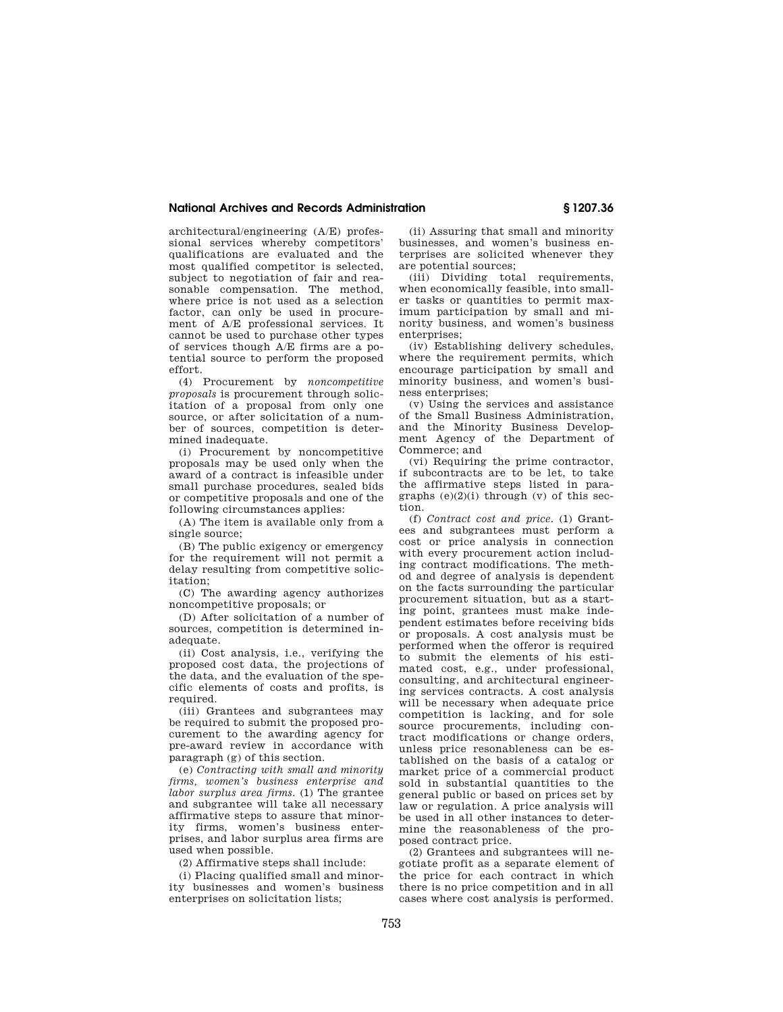## **National Archives and Records Administration § 1207.36**

architectural/engineering (A/E) professional services whereby competitors' qualifications are evaluated and the most qualified competitor is selected, subject to negotiation of fair and reasonable compensation. The method, where price is not used as a selection factor, can only be used in procurement of A/E professional services. It cannot be used to purchase other types of services though A/E firms are a potential source to perform the proposed effort.

(4) Procurement by *noncompetitive proposals* is procurement through solicitation of a proposal from only one source, or after solicitation of a number of sources, competition is determined inadequate.

(i) Procurement by noncompetitive proposals may be used only when the award of a contract is infeasible under small purchase procedures, sealed bids or competitive proposals and one of the following circumstances applies:

(A) The item is available only from a single source;

(B) The public exigency or emergency for the requirement will not permit a delay resulting from competitive solicitation;

(C) The awarding agency authorizes noncompetitive proposals; or

(D) After solicitation of a number of sources, competition is determined inadequate.

(ii) Cost analysis, i.e., verifying the proposed cost data, the projections of the data, and the evaluation of the specific elements of costs and profits, is required.

(iii) Grantees and subgrantees may be required to submit the proposed procurement to the awarding agency for pre-award review in accordance with paragraph (g) of this section.

(e) *Contracting with small and minority firms, women's business enterprise and labor surplus area firms.* (1) The grantee and subgrantee will take all necessary affirmative steps to assure that minority firms, women's business enterprises, and labor surplus area firms are used when possible.

(2) Affirmative steps shall include:

(i) Placing qualified small and minority businesses and women's business enterprises on solicitation lists;

(ii) Assuring that small and minority businesses, and women's business enterprises are solicited whenever they are potential sources;

(iii) Dividing total requirements, when economically feasible, into smaller tasks or quantities to permit maximum participation by small and minority business, and women's business enterprises;

(iv) Establishing delivery schedules, where the requirement permits, which encourage participation by small and minority business, and women's business enterprises;

(v) Using the services and assistance of the Small Business Administration, and the Minority Business Development Agency of the Department of Commerce; and

(vi) Requiring the prime contractor, if subcontracts are to be let, to take the affirmative steps listed in paragraphs  $(e)(2)(i)$  through  $(v)$  of this section.

(f) *Contract cost and price.* (1) Grantees and subgrantees must perform a cost or price analysis in connection with every procurement action including contract modifications. The method and degree of analysis is dependent on the facts surrounding the particular procurement situation, but as a starting point, grantees must make independent estimates before receiving bids or proposals. A cost analysis must be performed when the offeror is required to submit the elements of his estimated cost, e.g., under professional, consulting, and architectural engineering services contracts. A cost analysis will be necessary when adequate price competition is lacking, and for sole source procurements, including contract modifications or change orders, unless price resonableness can be established on the basis of a catalog or market price of a commercial product sold in substantial quantities to the general public or based on prices set by law or regulation. A price analysis will be used in all other instances to determine the reasonableness of the proposed contract price.

(2) Grantees and subgrantees will negotiate profit as a separate element of the price for each contract in which there is no price competition and in all cases where cost analysis is performed.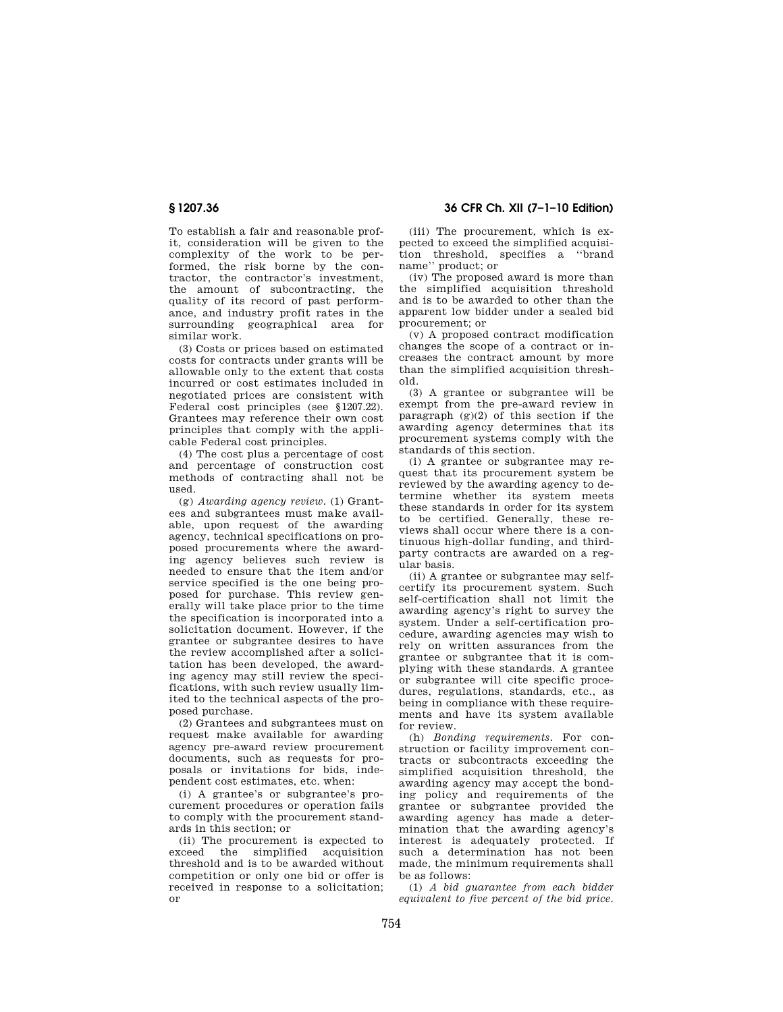To establish a fair and reasonable profit, consideration will be given to the complexity of the work to be performed, the risk borne by the contractor, the contractor's investment, the amount of subcontracting, the quality of its record of past performance, and industry profit rates in the surrounding geographical area for similar work.

(3) Costs or prices based on estimated costs for contracts under grants will be allowable only to the extent that costs incurred or cost estimates included in negotiated prices are consistent with Federal cost principles (see §1207.22). Grantees may reference their own cost principles that comply with the applicable Federal cost principles.

(4) The cost plus a percentage of cost and percentage of construction cost methods of contracting shall not be used.

(g) *Awarding agency review.* (1) Grantees and subgrantees must make available, upon request of the awarding agency, technical specifications on proposed procurements where the awarding agency believes such review is needed to ensure that the item and/or service specified is the one being proposed for purchase. This review generally will take place prior to the time the specification is incorporated into a solicitation document. However, if the grantee or subgrantee desires to have the review accomplished after a solicitation has been developed, the awarding agency may still review the specifications, with such review usually limited to the technical aspects of the proposed purchase.

(2) Grantees and subgrantees must on request make available for awarding agency pre-award review procurement documents, such as requests for proposals or invitations for bids, independent cost estimates, etc. when:

(i) A grantee's or subgrantee's procurement procedures or operation fails to comply with the procurement standards in this section; or

(ii) The procurement is expected to exceed the simplified acquisition threshold and is to be awarded without competition or only one bid or offer is received in response to a solicitation; or

**§ 1207.36 36 CFR Ch. XII (7–1–10 Edition)** 

(iii) The procurement, which is expected to exceed the simplified acquisition threshold, specifies a ''brand name'' product; or

(iv) The proposed award is more than the simplified acquisition threshold and is to be awarded to other than the apparent low bidder under a sealed bid procurement; or

(v) A proposed contract modification changes the scope of a contract or increases the contract amount by more than the simplified acquisition threshold.

(3) A grantee or subgrantee will be exempt from the pre-award review in paragraph  $(g)(2)$  of this section if the awarding agency determines that its procurement systems comply with the standards of this section.

(i) A grantee or subgrantee may request that its procurement system be reviewed by the awarding agency to determine whether its system meets these standards in order for its system to be certified. Generally, these reviews shall occur where there is a continuous high-dollar funding, and thirdparty contracts are awarded on a regular basis.

(ii) A grantee or subgrantee may selfcertify its procurement system. Such self-certification shall not limit the awarding agency's right to survey the system. Under a self-certification procedure, awarding agencies may wish to rely on written assurances from the grantee or subgrantee that it is complying with these standards. A grantee or subgrantee will cite specific procedures, regulations, standards, etc., as being in compliance with these requirements and have its system available for review.

(h) *Bonding requirements.* For construction or facility improvement contracts or subcontracts exceeding the simplified acquisition threshold, the awarding agency may accept the bonding policy and requirements of the grantee or subgrantee provided the awarding agency has made a determination that the awarding agency's interest is adequately protected. If such a determination has not been made, the minimum requirements shall be as follows:

(1) *A bid guarantee from each bidder equivalent to five percent of the bid price.*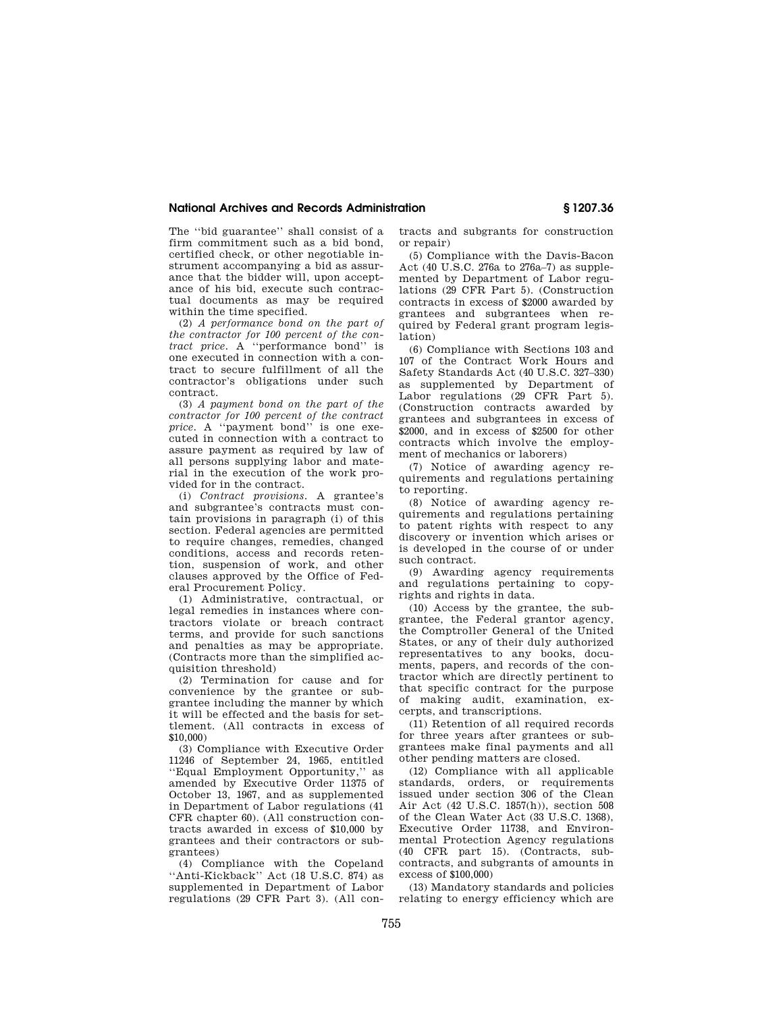## **National Archives and Records Administration § 1207.36**

The ''bid guarantee'' shall consist of a firm commitment such as a bid bond, certified check, or other negotiable instrument accompanying a bid as assurance that the bidder will, upon acceptance of his bid, execute such contractual documents as may be required within the time specified.

(2) *A performance bond on the part of the contractor for 100 percent of the contract price.* A ''performance bond'' is one executed in connection with a contract to secure fulfillment of all the contractor's obligations under such contract.

(3) *A payment bond on the part of the contractor for 100 percent of the contract price.* A ''payment bond'' is one executed in connection with a contract to assure payment as required by law of all persons supplying labor and material in the execution of the work provided for in the contract.

(i) *Contract provisions.* A grantee's and subgrantee's contracts must contain provisions in paragraph (i) of this section. Federal agencies are permitted to require changes, remedies, changed conditions, access and records retention, suspension of work, and other clauses approved by the Office of Federal Procurement Policy.

(1) Administrative, contractual, or legal remedies in instances where contractors violate or breach contract terms, and provide for such sanctions and penalties as may be appropriate. (Contracts more than the simplified acquisition threshold)

(2) Termination for cause and for convenience by the grantee or subgrantee including the manner by which it will be effected and the basis for settlement. (All contracts in excess of \$10,000)

(3) Compliance with Executive Order 11246 of September 24, 1965, entitled ''Equal Employment Opportunity,'' as amended by Executive Order 11375 of October 13, 1967, and as supplemented in Department of Labor regulations (41 CFR chapter 60). (All construction contracts awarded in excess of \$10,000 by grantees and their contractors or subgrantees)

(4) Compliance with the Copeland ''Anti-Kickback'' Act (18 U.S.C. 874) as supplemented in Department of Labor regulations (29 CFR Part 3). (All contracts and subgrants for construction or repair)

(5) Compliance with the Davis-Bacon Act (40 U.S.C. 276a to 276a–7) as supplemented by Department of Labor regulations (29 CFR Part 5). (Construction contracts in excess of \$2000 awarded by grantees and subgrantees when required by Federal grant program legislation)

(6) Compliance with Sections 103 and 107 of the Contract Work Hours and Safety Standards Act (40 U.S.C. 327–330) as supplemented by Department of Labor regulations (29 CFR Part 5). (Construction contracts awarded by grantees and subgrantees in excess of \$2000, and in excess of \$2500 for other contracts which involve the employment of mechanics or laborers)

(7) Notice of awarding agency requirements and regulations pertaining to reporting.

(8) Notice of awarding agency requirements and regulations pertaining to patent rights with respect to any discovery or invention which arises or is developed in the course of or under such contract.

(9) Awarding agency requirements and regulations pertaining to copyrights and rights in data.

(10) Access by the grantee, the subgrantee, the Federal grantor agency, the Comptroller General of the United States, or any of their duly authorized representatives to any books, documents, papers, and records of the contractor which are directly pertinent to that specific contract for the purpose of making audit, examination, excerpts, and transcriptions.

(11) Retention of all required records for three years after grantees or subgrantees make final payments and all other pending matters are closed.

(12) Compliance with all applicable standards, orders, or requirements issued under section 306 of the Clean Air Act (42 U.S.C. 1857(h)), section 508 of the Clean Water Act (33 U.S.C. 1368), Executive Order 11738, and Environmental Protection Agency regulations (40 CFR part 15). (Contracts, subcontracts, and subgrants of amounts in excess of \$100,000)

(13) Mandatory standards and policies relating to energy efficiency which are